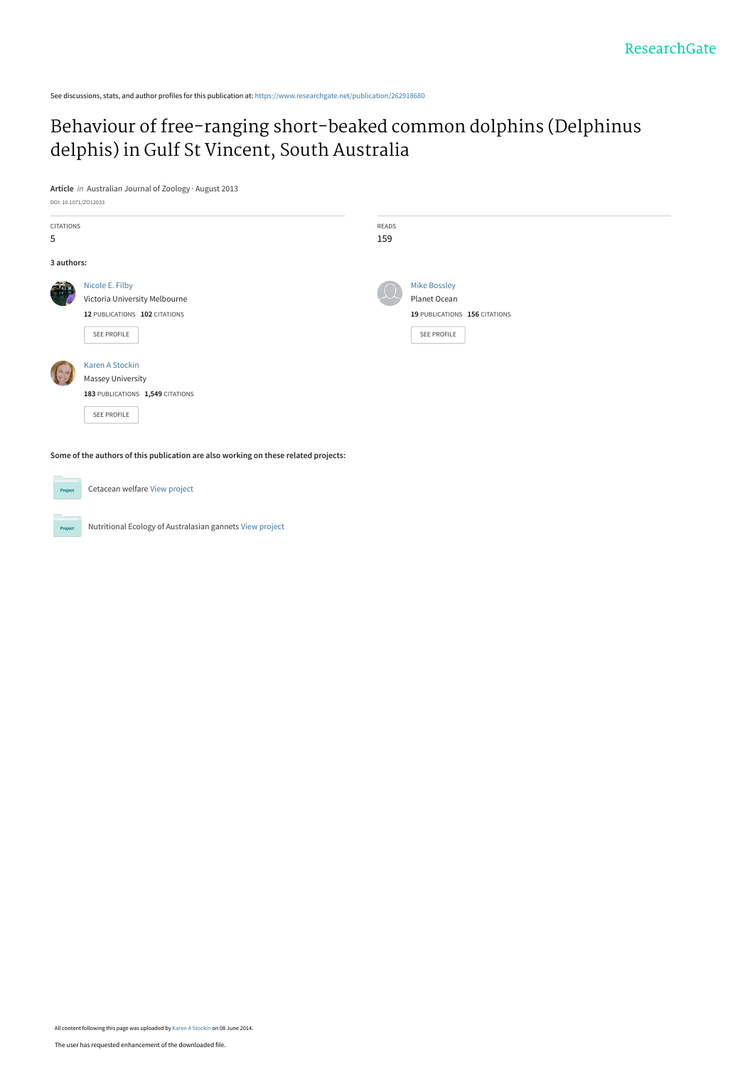See discussions, stats, and author profiles for this publication at: [https://www.researchgate.net/publication/262918680](https://www.researchgate.net/publication/262918680_Behaviour_of_free-ranging_short-beaked_common_dolphins_Delphinus_delphis_in_Gulf_St_Vincent_South_Australia?enrichId=rgreq-f393678ee1e198ce5ae627d2df710e93-XXX&enrichSource=Y292ZXJQYWdlOzI2MjkxODY4MDtBUzoxMDU5MjMxODM5MDY4MTZAMTQwMjI2NTQ2MzYxOQ%3D%3D&el=1_x_2&_esc=publicationCoverPdf)

# [Behaviour of free-ranging short-beaked common dolphins \(Delphinus](https://www.researchgate.net/publication/262918680_Behaviour_of_free-ranging_short-beaked_common_dolphins_Delphinus_delphis_in_Gulf_St_Vincent_South_Australia?enrichId=rgreq-f393678ee1e198ce5ae627d2df710e93-XXX&enrichSource=Y292ZXJQYWdlOzI2MjkxODY4MDtBUzoxMDU5MjMxODM5MDY4MTZAMTQwMjI2NTQ2MzYxOQ%3D%3D&el=1_x_3&_esc=publicationCoverPdf) delphis) in Gulf St Vincent, South Australia

**Article** in Australian Journal of Zoology · August 2013

| DOI: 10.1071/ZO12033 |                                                                                     |       |                               |
|----------------------|-------------------------------------------------------------------------------------|-------|-------------------------------|
| <b>CITATIONS</b>     |                                                                                     | READS |                               |
| 5                    |                                                                                     | 159   |                               |
| 3 authors:           |                                                                                     |       |                               |
| a.                   | Nicole E. Filby                                                                     |       | <b>Mike Bossley</b>           |
|                      | Victoria University Melbourne                                                       |       | Planet Ocean                  |
|                      | 12 PUBLICATIONS 102 CITATIONS                                                       |       | 19 PUBLICATIONS 156 CITATIONS |
|                      | SEE PROFILE                                                                         |       | SEE PROFILE                   |
|                      | Karen A Stockin                                                                     |       |                               |
|                      | <b>Massey University</b>                                                            |       |                               |
|                      | 183 PUBLICATIONS 1,549 CITATIONS                                                    |       |                               |
|                      | SEE PROFILE                                                                         |       |                               |
|                      |                                                                                     |       |                               |
|                      |                                                                                     |       |                               |
|                      | Some of the authors of this publication are also working on these related projects: |       |                               |

Cetacean welfare [View project](https://www.researchgate.net/project/Cetacean-welfare?enrichId=rgreq-f393678ee1e198ce5ae627d2df710e93-XXX&enrichSource=Y292ZXJQYWdlOzI2MjkxODY4MDtBUzoxMDU5MjMxODM5MDY4MTZAMTQwMjI2NTQ2MzYxOQ%3D%3D&el=1_x_9&_esc=publicationCoverPdf) Project

Project

Nutritional Ecology of Australasian gannets [View project](https://www.researchgate.net/project/Nutritional-Ecology-of-Australasian-gannets?enrichId=rgreq-f393678ee1e198ce5ae627d2df710e93-XXX&enrichSource=Y292ZXJQYWdlOzI2MjkxODY4MDtBUzoxMDU5MjMxODM5MDY4MTZAMTQwMjI2NTQ2MzYxOQ%3D%3D&el=1_x_9&_esc=publicationCoverPdf)

All content following this page was uploaded by [Karen A Stockin](https://www.researchgate.net/profile/Karen_Stockin?enrichId=rgreq-f393678ee1e198ce5ae627d2df710e93-XXX&enrichSource=Y292ZXJQYWdlOzI2MjkxODY4MDtBUzoxMDU5MjMxODM5MDY4MTZAMTQwMjI2NTQ2MzYxOQ%3D%3D&el=1_x_10&_esc=publicationCoverPdf) on 08 June 2014.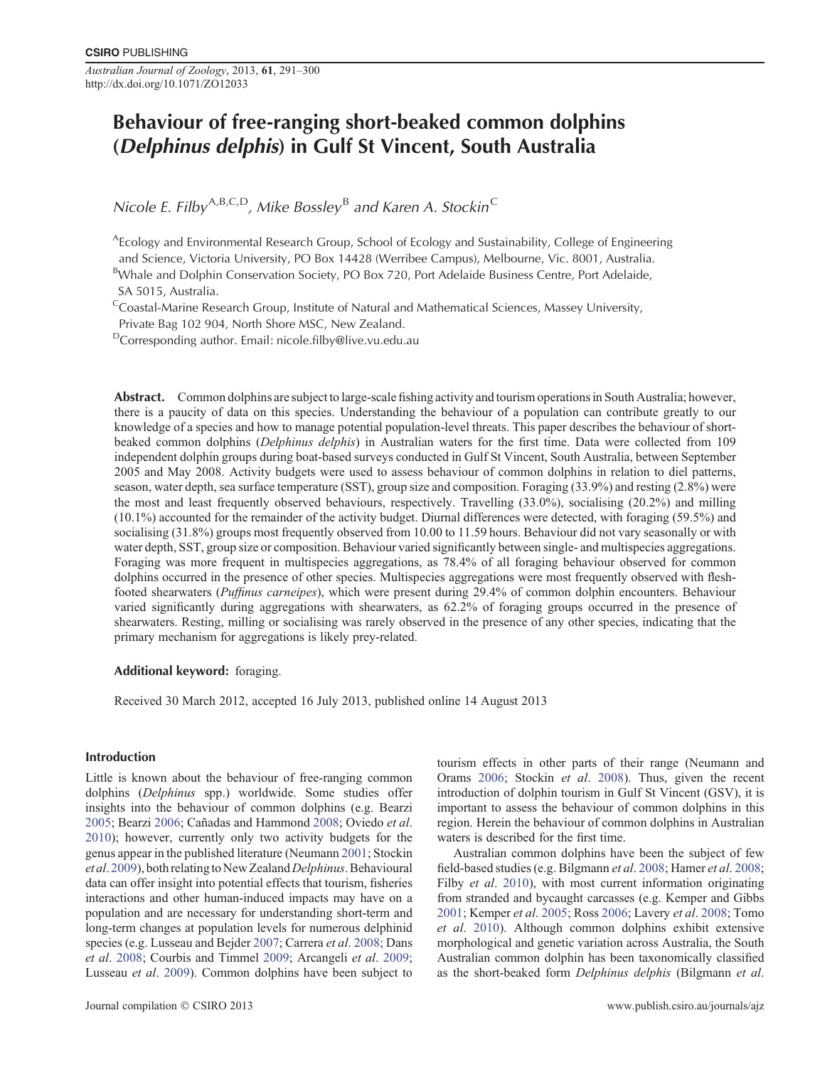*Australian Journal of Zoology*, 2013, **61**, 291–300 http://dx.doi.org/10.1071/ZO12033

# **Behaviour of free-ranging short-beaked common dolphins (***Delphinus delphis***) in Gulf St Vincent, South Australia**

*Nicole E. Filby*A*,*B*,*C*,*D*, Mike Bossley* <sup>B</sup> *and Karen A. Stockin*<sup>C</sup>

AEcology and Environmental Research Group, School of Ecology and Sustainability, College of Engineering and Science, Victoria University, PO Box 14428 (Werribee Campus), Melbourne, Vic. 8001, Australia.

<sup>B</sup>Whale and Dolphin Conservation Society, PO Box 720, Port Adelaide Business Centre, Port Adelaide, SA 5015, Australia.

<sup>C</sup>Coastal-Marine Research Group, Institute of Natural and Mathematical Sciences, Massey University, Private Bag 102 904, North Shore MSC, New Zealand.

DCorresponding author. Email: nicole.fi[lby@live.vu.edu.au](mailto:nicole.filby@live.vu.edu.au)

**Abstract.** Common dolphins are subject to large-scale fishing activity and tourism operations in South Australia; however, there is a paucity of data on this species. Understanding the behaviour of a population can contribute greatly to our knowledge of a species and how to manage potential population-level threats. This paper describes the behaviour of shortbeaked common dolphins (*Delphinus delphis*) in Australian waters for the first time. Data were collected from 109 independent dolphin groups during boat-based surveys conducted in Gulf St Vincent, South Australia, between September 2005 and May 2008. Activity budgets were used to assess behaviour of common dolphins in relation to diel patterns, season, water depth, sea surface temperature (SST), group size and composition. Foraging (33.9%) and resting (2.8%) were the most and least frequently observed behaviours, respectively. Travelling (33.0%), socialising (20.2%) and milling (10.1%) accounted for the remainder of the activity budget. Diurnal differences were detected, with foraging (59.5%) and socialising (31.8%) groups most frequently observed from 10.00 to 11.59 hours. Behaviour did not vary seasonally or with water depth, SST, group size or composition. Behaviour varied significantly between single- and multispecies aggregations. Foraging was more frequent in multispecies aggregations, as 78.4% of all foraging behaviour observed for common dolphins occurred in the presence of other species. Multispecies aggregations were most frequently observed with fleshfooted shearwaters (*Puffinus carneipes*), which were present during 29.4% of common dolphin encounters. Behaviour varied significantly during aggregations with shearwaters, as 62.2% of foraging groups occurred in the presence of shearwaters. Resting, milling or socialising was rarely observed in the presence of any other species, indicating that the primary mechanism for aggregations is likely prey-related.

# **Additional keyword:** foraging.

Received 30 March 2012, accepted 16 July 2013, published online 14 August 2013

#### **Introduction**

Little is known about the behaviour of free-ranging common dolphins (*Delphinus* spp.) worldwide. Some studies offer insights into the behaviour of common dolphins (e.g. Bearzi [2005](#page-8-0); Bearzi [2006;](#page-8-0) Cañadas and Hammond [2008;](#page-9-0) Oviedo *et al*. [2010](#page-10-0)); however, currently only two activity budgets for the genus appear in the published literature (Neumann [2001;](#page-10-0) Stockin *et al*. [2009](#page-10-0)), both relatingto New Zealand*Delphinus*.Behavioural data can offer insight into potential effects that tourism, fisheries interactions and other human-induced impacts may have on a population and are necessary for understanding short-term and long-term changes at population levels for numerous delphinid species (e.g. Lusseau and Bejder [2007](#page-9-0); Carrera *et al*. [2008;](#page-9-0) Dans *et al*. [2008](#page-9-0); Courbis and Timmel [2009](#page-9-0); Arcangeli *et al*. [2009;](#page-8-0) Lusseau *et al*. [2009\)](#page-9-0). Common dolphins have been subject to tourism effects in other parts of their range (Neumann and Orams [2006;](#page-10-0) Stockin *et al*. [2008\)](#page-10-0). Thus, given the recent introduction of dolphin tourism in Gulf St Vincent (GSV), it is important to assess the behaviour of common dolphins in this region. Herein the behaviour of common dolphins in Australian waters is described for the first time.

Australian common dolphins have been the subject of few field-based studies (e.g. Bilgmann *et al*. [2008;](#page-9-0) Hamer *et al*. [2008;](#page-9-0) Filby *et al.* [2010\)](#page-9-0), with most current information originating from stranded and bycaught carcasses (e.g. Kemper and Gibbs [2001](#page-9-0); Kemper *et al*. [2005;](#page-9-0) Ross [2006;](#page-10-0) Lavery *et al*. [2008](#page-9-0); Tomo *et al*. [2010\)](#page-10-0). Although common dolphins exhibit extensive morphological and genetic variation across Australia, the South Australian common dolphin has been taxonomically classified as the short-beaked form *Delphinus delphis* (Bilgmann *et al*.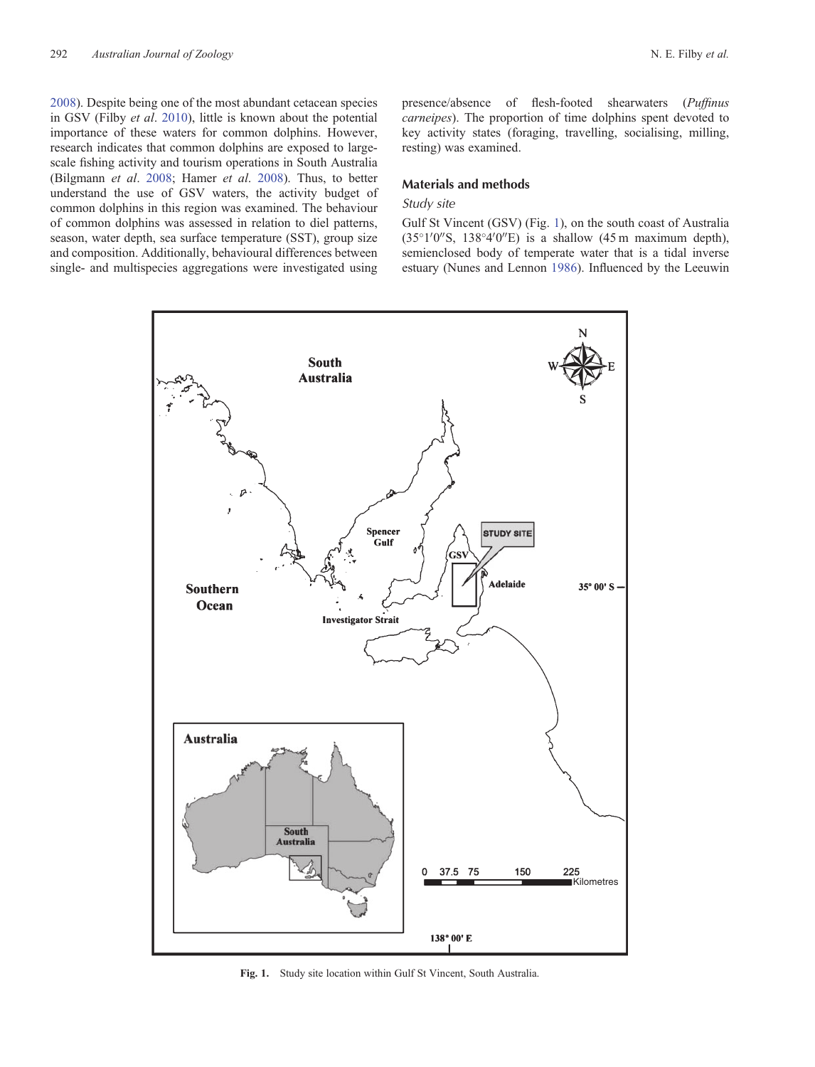[2008\)](#page-9-0). Despite being one of the most abundant cetacean species in GSV (Filby *et al*. [2010](#page-9-0)), little is known about the potential importance of these waters for common dolphins. However, research indicates that common dolphins are exposed to largescale fishing activity and tourism operations in South Australia (Bilgmann *et al*. [2008;](#page-9-0) Hamer *et al*. [2008](#page-9-0)). Thus, to better understand the use of GSV waters, the activity budget of common dolphins in this region was examined. The behaviour of common dolphins was assessed in relation to diel patterns, season, water depth, sea surface temperature (SST), group size and composition. Additionally, behavioural differences between single- and multispecies aggregations were investigated using

presence/absence of flesh-footed shearwaters (*Puffinus carneipes*). The proportion of time dolphins spent devoted to key activity states (foraging, travelling, socialising, milling, resting) was examined.

#### **Materials and methods**

# *Study site*

Gulf St Vincent (GSV) (Fig. 1), on the south coast of Australia  $(35^{\circ}1'0''\text{S}, 138^{\circ}4'0''\text{E})$  is a shallow  $(45 \text{ m maximum depth})$ , semienclosed body of temperate water that is a tidal inverse estuary (Nunes and Lennon [1986\)](#page-10-0). Influenced by the Leeuwin



**Fig. 1.** Study site location within Gulf St Vincent, South Australia.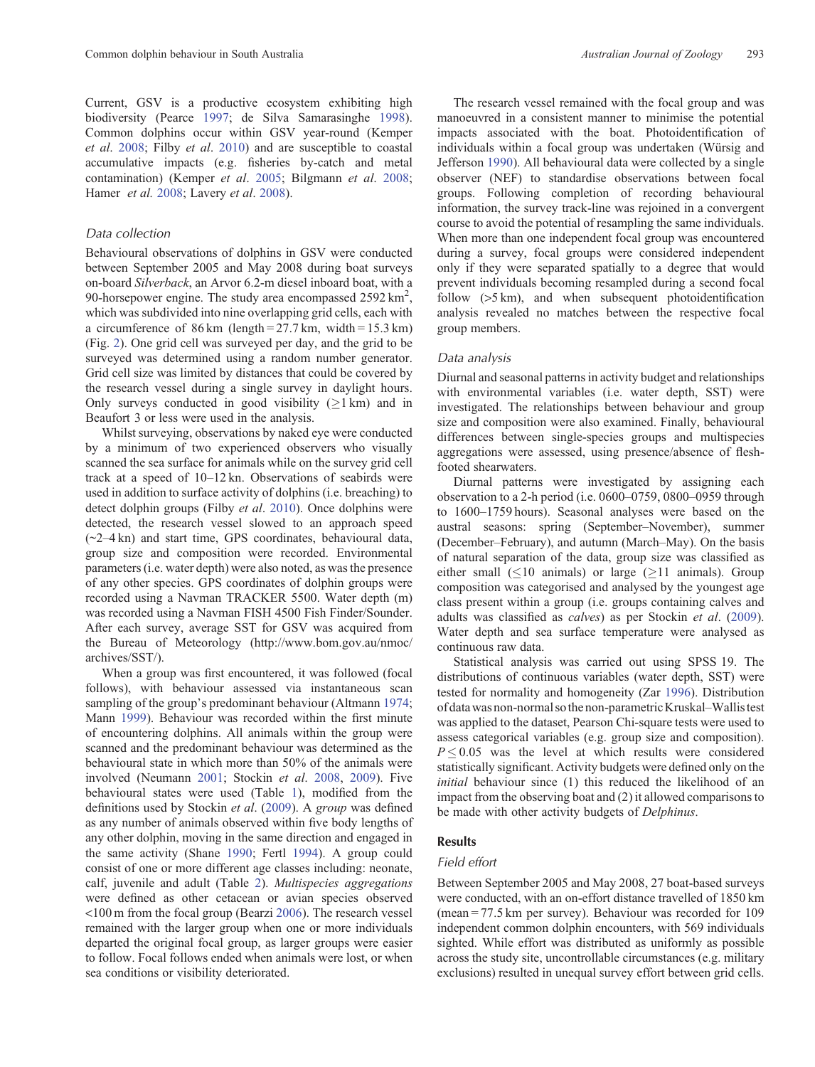Current, GSV is a productive ecosystem exhibiting high biodiversity (Pearce [1997](#page-10-0); de Silva Samarasinghe [1998](#page-9-0)). Common dolphins occur within GSV year-round (Kemper *et al*. [2008;](#page-9-0) Filby *et al*. [2010\)](#page-9-0) and are susceptible to coastal accumulative impacts (e.g. fisheries by-catch and metal contamination) (Kemper *et al*. [2005;](#page-9-0) Bilgmann *et al*. [2008;](#page-9-0) Hamer *et al.* [2008;](#page-9-0) Lavery *et al*. [2008\)](#page-9-0).

# *Data collection*

Behavioural observations of dolphins in GSV were conducted between September 2005 and May 2008 during boat surveys on-board *Silverback*, an Arvor 6.2-m diesel inboard boat, with a 90-horsepower engine. The study area encompassed  $2592 \text{ km}^2$ , which was subdivided into nine overlapping grid cells, each with a circumference of  $86 \text{ km}$  (length = 27.7 km, width = 15.3 km) (Fig. [2\)](#page-4-0). One grid cell was surveyed per day, and the grid to be surveyed was determined using a random number generator. Grid cell size was limited by distances that could be covered by the research vessel during a single survey in daylight hours. Only surveys conducted in good visibility  $(21 km)$  and in Beaufort 3 or less were used in the analysis.

Whilst surveying, observations by naked eye were conducted by a minimum of two experienced observers who visually scanned the sea surface for animals while on the survey grid cell track at a speed of 10–12 kn. Observations of seabirds were used in addition to surface activity of dolphins (i.e. breaching) to detect dolphin groups (Filby *et al*. [2010](#page-9-0)). Once dolphins were detected, the research vessel slowed to an approach speed (~2–4 kn) and start time, GPS coordinates, behavioural data, group size and composition were recorded. Environmental parameters (i.e. water depth) were also noted, as was the presence of any other species. GPS coordinates of dolphin groups were recorded using a Navman TRACKER 5500. Water depth (m) was recorded using a Navman FISH 4500 Fish Finder/Sounder. After each survey, average SST for GSV was acquired from the Bureau of Meteorology ([http://www.bom.gov.au/nmoc/](http://www.bom.gov.au/nmoc/archives/SST/) [archives/SST/\)](http://www.bom.gov.au/nmoc/archives/SST/).

When a group was first encountered, it was followed (focal follows), with behaviour assessed via instantaneous scan sampling of the group's predominant behaviour (Altmann [1974;](#page-8-0) Mann [1999](#page-9-0)). Behaviour was recorded within the first minute of encountering dolphins. All animals within the group were scanned and the predominant behaviour was determined as the behavioural state in which more than 50% of the animals were involved (Neumann [2001](#page-10-0); Stockin *et al*. [2008,](#page-10-0) [2009\)](#page-10-0). Five behavioural states were used (Table [1\)](#page-5-0), modified from the definitions used by Stockin *et al*. ([2009\)](#page-10-0). A *group* was defined as any number of animals observed within five body lengths of any other dolphin, moving in the same direction and engaged in the same activity (Shane [1990](#page-10-0); Fertl [1994\)](#page-9-0). A group could consist of one or more different age classes including: neonate, calf, juvenile and adult (Table [2\)](#page-5-0). *Multispecies aggregations* were defined as other cetacean or avian species observed <100 m from the focal group (Bearzi [2006\)](#page-8-0). The research vessel remained with the larger group when one or more individuals departed the original focal group, as larger groups were easier to follow. Focal follows ended when animals were lost, or when sea conditions or visibility deteriorated.

The research vessel remained with the focal group and was manoeuvred in a consistent manner to minimise the potential impacts associated with the boat. Photoidentification of individuals within a focal group was undertaken (Würsig and Jefferson [1990\)](#page-10-0). All behavioural data were collected by a single observer (NEF) to standardise observations between focal groups. Following completion of recording behavioural information, the survey track-line was rejoined in a convergent course to avoid the potential of resampling the same individuals. When more than one independent focal group was encountered during a survey, focal groups were considered independent only if they were separated spatially to a degree that would prevent individuals becoming resampled during a second focal follow ( $>5 \text{ km}$ ), and when subsequent photoidentification analysis revealed no matches between the respective focal group members.

#### *Data analysis*

Diurnal and seasonal patterns in activity budget and relationships with environmental variables (i.e. water depth, SST) were investigated. The relationships between behaviour and group size and composition were also examined. Finally, behavioural differences between single-species groups and multispecies aggregations were assessed, using presence/absence of fleshfooted shearwaters.

Diurnal patterns were investigated by assigning each observation to a 2-h period (i.e. 0600–0759, 0800–0959 through to 1600–1759 hours). Seasonal analyses were based on the austral seasons: spring (September–November), summer (December–February), and autumn (March–May). On the basis of natural separation of the data, group size was classified as either small  $(\leq 10$  animals) or large ( $> 11$  animals). Group composition was categorised and analysed by the youngest age class present within a group (i.e. groups containing calves and adults was classified as *calves*) as per Stockin *et al*. [\(2009](#page-10-0)). Water depth and sea surface temperature were analysed as continuous raw data.

Statistical analysis was carried out using SPSS 19. The distributions of continuous variables (water depth, SST) were tested for normality and homogeneity (Zar [1996\)](#page-10-0). Distribution of datawas non-normal sothe non-parametric Kruskal–Wallistest was applied to the dataset, Pearson Chi-square tests were used to assess categorical variables (e.g. group size and composition).  $P \leq 0.05$  was the level at which results were considered statistically significant. Activity budgets were defined only on the *initial* behaviour since (1) this reduced the likelihood of an impact from the observing boat and (2) it allowed comparisons to be made with other activity budgets of *Delphinus*.

# **Results**

# *Field effort*

Between September 2005 and May 2008, 27 boat-based surveys were conducted, with an on-effort distance travelled of 1850 km (mean = 77.5 km per survey). Behaviour was recorded for 109 independent common dolphin encounters, with 569 individuals sighted. While effort was distributed as uniformly as possible across the study site, uncontrollable circumstances (e.g. military exclusions) resulted in unequal survey effort between grid cells.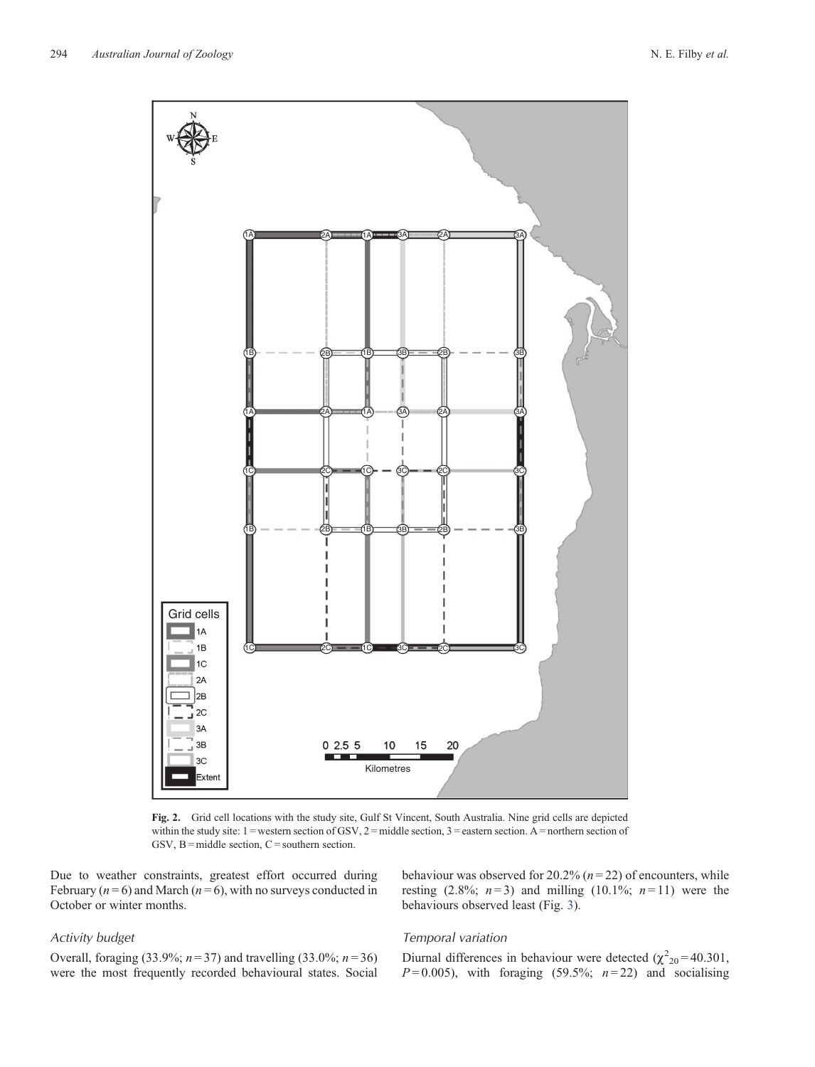<span id="page-4-0"></span>

**Fig. 2.** Grid cell locations with the study site, Gulf St Vincent, South Australia. Nine grid cells are depicted within the study site:  $1 =$  western section of GSV,  $2 =$  middle section,  $3 =$  eastern section. A = northern section of GSV,  $B = mid$ dle section,  $C =$  southern section.

Due to weather constraints, greatest effort occurred during February  $(n=6)$  and March  $(n=6)$ , with no surveys conducted in October or winter months.

# *Activity budget*

behaviour was observed for 20.2% (*n* = 22) of encounters, while resting (2.8%;  $n=3$ ) and milling (10.1%;  $n=11$ ) were the behaviours observed least (Fig. [3](#page-5-0)).

Overall, foraging (33.9%; *n* = 37) and travelling (33.0%; *n* = 36) were the most frequently recorded behavioural states. Social

# *Temporal variation*

Diurnal differences in behaviour were detected  $(\chi^2_{20} = 40.301,$  $P=0.005$ ), with foraging (59.5%;  $n=22$ ) and socialising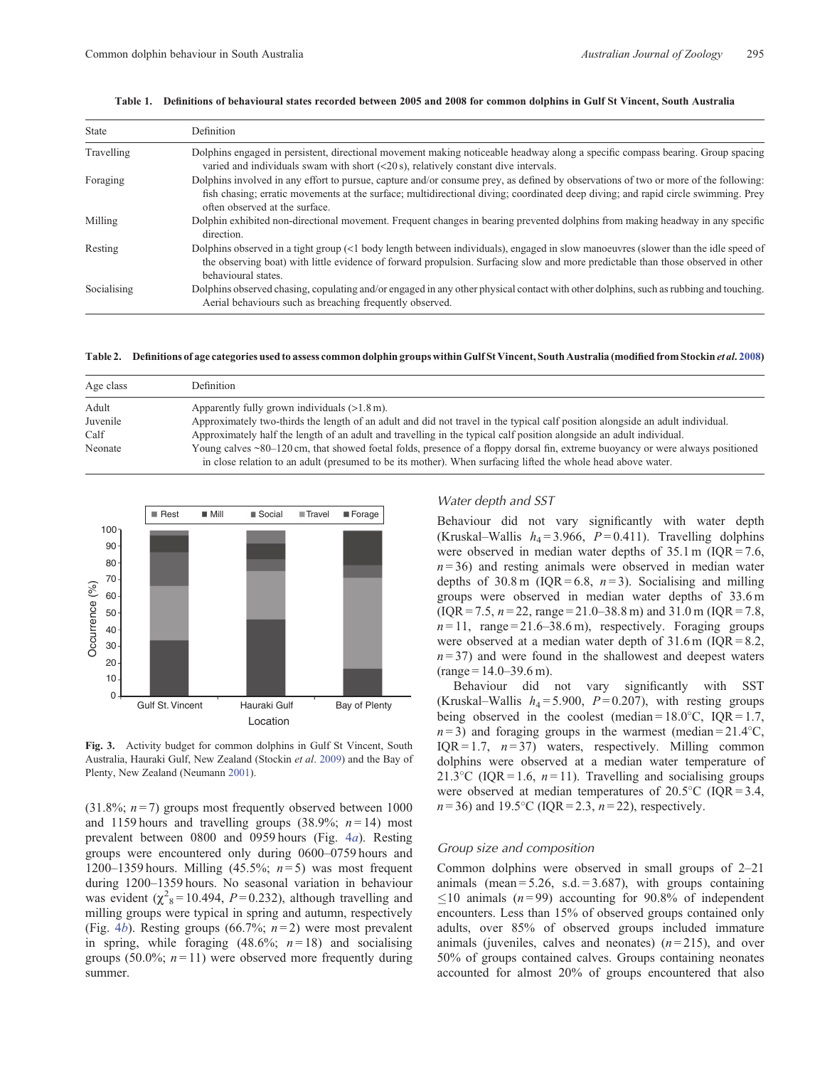| <b>State</b> | Definition                                                                                                                                                                                                                                                                                                 |
|--------------|------------------------------------------------------------------------------------------------------------------------------------------------------------------------------------------------------------------------------------------------------------------------------------------------------------|
| Travelling   | Dolphins engaged in persistent, directional movement making noticeable headway along a specific compass bearing. Group spacing<br>varied and individuals swam with short $(<20 s$ ), relatively constant dive intervals.                                                                                   |
| Foraging     | Dolphins involved in any effort to pursue, capture and/or consume prey, as defined by observations of two or more of the following:<br>fish chasing; erratic movements at the surface; multidirectional diving; coordinated deep diving; and rapid circle swimming. Prey<br>often observed at the surface. |
| Milling      | Dolphin exhibited non-directional movement. Frequent changes in bearing prevented dolphins from making headway in any specific<br>direction.                                                                                                                                                               |
| Resting      | Dolphins observed in a tight group (<1 body length between individuals), engaged in slow manoeuvres (slower than the idle speed of<br>the observing boat) with little evidence of forward propulsion. Surfacing slow and more predictable than those observed in other<br>behavioural states.              |
| Socialising  | Dolphins observed chasing, copulating and/or engaged in any other physical contact with other dolphins, such as rubbing and touching.<br>Aerial behaviours such as breaching frequently observed.                                                                                                          |

#### <span id="page-5-0"></span>**Table 1. Definitions of behavioural states recorded between 2005 and 2008 for common dolphins in Gulf St Vincent, South Australia**

**Table 2. Definitions of age categories used to assess common dolphin groups within Gulf St Vincent, South Australia (modified from Stockin** *et al***. [2008\)](#page-10-0)**

| Age class | <b>Definition</b>                                                                                                              |
|-----------|--------------------------------------------------------------------------------------------------------------------------------|
| Adult     | Apparently fully grown individuals $(>1.8 \text{ m})$ .                                                                        |
| Juvenile  | Approximately two-thirds the length of an adult and did not travel in the typical calf position alongside an adult individual. |
| Calf      | Approximately half the length of an adult and travelling in the typical calf position alongside an adult individual.           |
| Neonate   | Young calves ~80–120 cm, that showed foetal folds, presence of a floppy dorsal fin, extreme buoyancy or were always positioned |
|           | in close relation to an adult (presumed to be its mother). When surfacing lifted the whole head above water.                   |



**Fig. 3.** Activity budget for common dolphins in Gulf St Vincent, South Australia, Hauraki Gulf, New Zealand (Stockin *et al*. [2009\)](#page-10-0) and the Bay of Plenty, New Zealand (Neumann [2001\)](#page-10-0).

(31.8%;  $n = 7$ ) groups most frequently observed between 1000 and 1159 hours and travelling groups  $(38.9\%; n=14)$  most prevalent between 0800 and 0959 hours (Fig. 4*[a](#page-6-0)*). Resting groups were encountered only during 0600–0759 hours and 1200–1359 hours. Milling (45.5%; *n* = 5) was most frequent during 1200–1359 hours. No seasonal variation in behaviour was evident  $(\chi^2_8 = 10.494, P = 0.232)$ , although travelling and milling groups were typical in spring and autumn, respectively (Fig. [4](#page-6-0)*b*). Resting groups (66.7%; *n* = 2) were most prevalent in spring, while foraging  $(48.6\%; n=18)$  and socialising groups (50.0%;  $n = 11$ ) were observed more frequently during summer.

# *Water depth and SST*

Behaviour did not vary significantly with water depth (Kruskal–Wallis  $h_4 = 3.966$ ,  $P = 0.411$ ). Travelling dolphins were observed in median water depths of  $35.1 \text{ m}$  (IQR = 7.6,  $n = 36$ ) and resting animals were observed in median water depths of  $30.8 \text{ m}$  (IQR = 6.8,  $n=3$ ). Socialising and milling groups were observed in median water depths of 33.6 m  $(IOR = 7.5, n = 22, range = 21.0 - 38.8 m)$  and  $31.0 m (IOR = 7.8,$  $n=11$ , range = 21.6–38.6 m), respectively. Foraging groups were observed at a median water depth of  $31.6$  m (IQR = 8.2,  $n = 37$ ) and were found in the shallowest and deepest waters  $(range=14.0-39.6 m).$ 

Behaviour did not vary significantly with SST (Kruskal–Wallis  $h_4 = 5.900$ ,  $P = 0.207$ ), with resting groups being observed in the coolest (median= $18.0^{\circ}$ C, IQR= $1.7$ ,  $n=3$ ) and foraging groups in the warmest (median = 21.4°C, IQR = 1.7,  $n = 37$ ) waters, respectively. Milling common dolphins were observed at a median water temperature of 21.3 °C (IQR = 1.6,  $n = 11$ ). Travelling and socialising groups were observed at median temperatures of  $20.5^{\circ}$ C (IQR = 3.4,  $n = 36$ ) and 19.5°C (IQR = 2.3,  $n = 22$ ), respectively.

# *Group size and composition*

Common dolphins were observed in small groups of 2–21 animals (mean =  $5.26$ , s.d. =  $3.687$ ), with groups containing  $\leq$ 10 animals ( $n = 99$ ) accounting for 90.8% of independent encounters. Less than 15% of observed groups contained only adults, over 85% of observed groups included immature animals (juveniles, calves and neonates)  $(n=215)$ , and over 50% of groups contained calves. Groups containing neonates accounted for almost 20% of groups encountered that also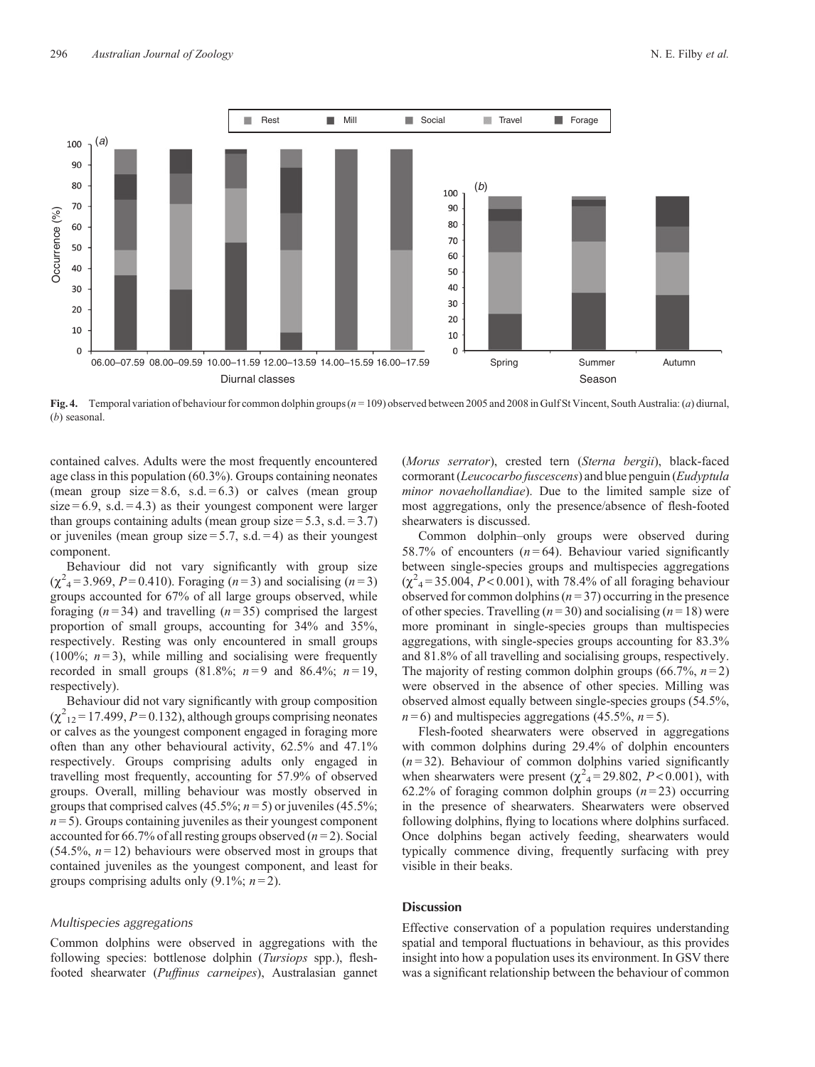<span id="page-6-0"></span>

**Fig. 4.** Temporal variation of behaviour for common dolphin groups (*n* = 109) observed between 2005 and 2008 in Gulf St Vincent, South Australia: (*a*) diurnal, (*b*) seasonal.

contained calves. Adults were the most frequently encountered age class in this population (60.3%). Groups containing neonates (mean group size = 8.6, s.d. = 6.3) or calves (mean group  $size = 6.9$ , s.d.  $= 4.3$ ) as their youngest component were larger than groups containing adults (mean group size  $= 5.3$ , s.d.  $= 3.7$ ) or juveniles (mean group size  $= 5.7$ , s.d.  $= 4$ ) as their youngest component.

Behaviour did not vary significantly with group size  $(\chi^2_{4} = 3.969, P = 0.410)$ . Foraging (*n* = 3) and socialising (*n* = 3) groups accounted for 67% of all large groups observed, while foraging  $(n=34)$  and travelling  $(n=35)$  comprised the largest proportion of small groups, accounting for 34% and 35%, respectively. Resting was only encountered in small groups (100%;  $n=3$ ), while milling and socialising were frequently recorded in small groups (81.8%;  $n=9$  and 86.4%;  $n=19$ , respectively).

Behaviour did not vary significantly with group composition  $(\chi^2_{12} = 17.499, P = 0.132)$ , although groups comprising neonates or calves as the youngest component engaged in foraging more often than any other behavioural activity, 62.5% and 47.1% respectively. Groups comprising adults only engaged in travelling most frequently, accounting for 57.9% of observed groups. Overall, milling behaviour was mostly observed in groups that comprised calves (45.5%;  $n = 5$ ) or juveniles (45.5%;  $n = 5$ ). Groups containing juveniles as their youngest component accounted for 66.7% of all resting groups observed  $(n=2)$ . Social (54.5%, *n* = 12) behaviours were observed most in groups that contained juveniles as the youngest component, and least for groups comprising adults only  $(9.1\%; n=2)$ .

#### *Multispecies aggregations*

Common dolphins were observed in aggregations with the following species: bottlenose dolphin (*Tursiops* spp.), fleshfooted shearwater (*Puffinus carneipes*), Australasian gannet (*Morus serrator*), crested tern (*Sterna bergii*), black-faced cormorant (*Leucocarbo fuscescens*) and blue penguin (*Eudyptula minor novaehollandiae*). Due to the limited sample size of most aggregations, only the presence/absence of flesh-footed shearwaters is discussed.

Common dolphin–only groups were observed during 58.7% of encounters  $(n=64)$ . Behaviour varied significantly between single-species groups and multispecies aggregations  $(\chi^2_{4} = 35.004, P < 0.001)$ , with 78.4% of all foraging behaviour observed for common dolphins  $(n=37)$  occurring in the presence of other species. Travelling  $(n=30)$  and socialising  $(n=18)$  were more prominant in single-species groups than multispecies aggregations, with single-species groups accounting for 83.3% and 81.8% of all travelling and socialising groups, respectively. The majority of resting common dolphin groups  $(66.7\%, n=2)$ were observed in the absence of other species. Milling was observed almost equally between single-species groups (54.5%,  $n=6$ ) and multispecies aggregations (45.5%,  $n=5$ ).

Flesh-footed shearwaters were observed in aggregations with common dolphins during 29.4% of dolphin encounters  $(n=32)$ . Behaviour of common dolphins varied significantly when shearwaters were present  $(\chi^2_{4} = 29.802, P < 0.001)$ , with 62.2% of foraging common dolphin groups  $(n=23)$  occurring in the presence of shearwaters. Shearwaters were observed following dolphins, flying to locations where dolphins surfaced. Once dolphins began actively feeding, shearwaters would typically commence diving, frequently surfacing with prey visible in their beaks.

# **Discussion**

Effective conservation of a population requires understanding spatial and temporal fluctuations in behaviour, as this provides insight into how a population uses its environment. In GSV there was a significant relationship between the behaviour of common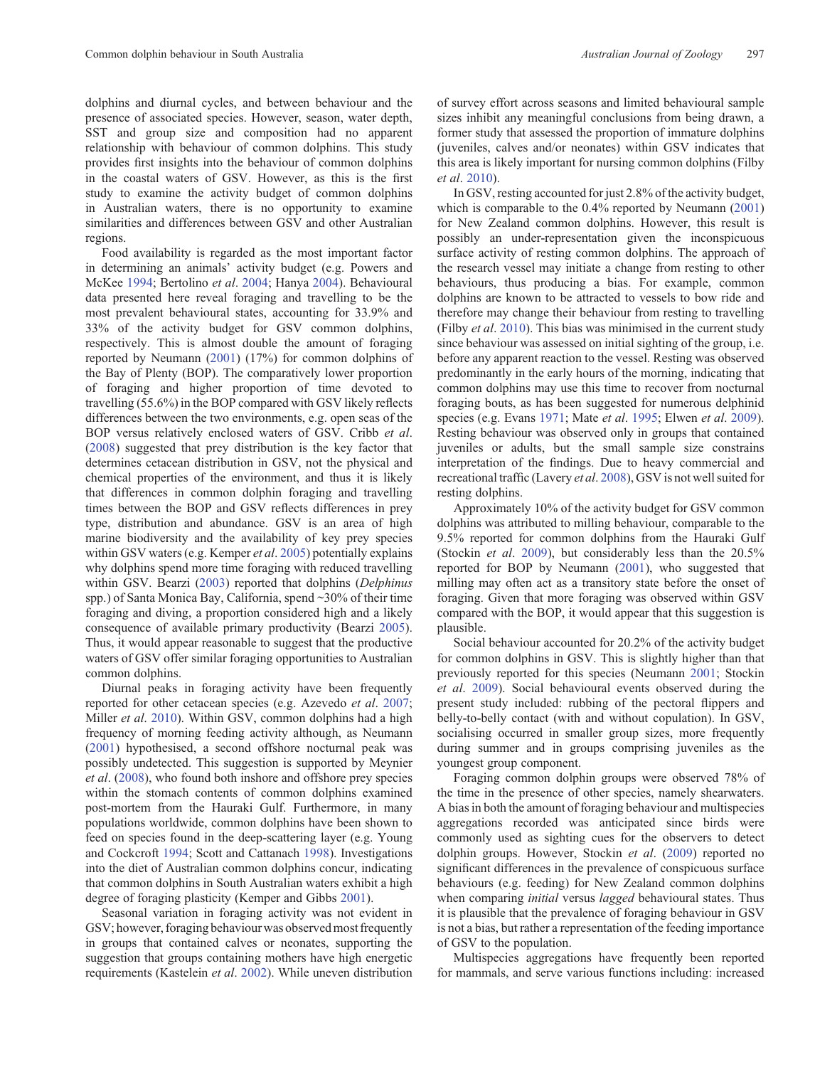dolphins and diurnal cycles, and between behaviour and the presence of associated species. However, season, water depth, SST and group size and composition had no apparent relationship with behaviour of common dolphins. This study provides first insights into the behaviour of common dolphins in the coastal waters of GSV. However, as this is the first study to examine the activity budget of common dolphins in Australian waters, there is no opportunity to examine similarities and differences between GSV and other Australian regions.

Food availability is regarded as the most important factor in determining an animals' activity budget (e.g. Powers and McKee [1994;](#page-8-0) Bertolino *et al*. [2004;](#page-8-0) Hanya [2004](#page-9-0)). Behavioural data presented here reveal foraging and travelling to be the most prevalent behavioural states, accounting for 33.9% and 33% of the activity budget for GSV common dolphins, respectively. This is almost double the amount of foraging reported by Neumann ([2001\)](#page-10-0) (17%) for common dolphins of the Bay of Plenty (BOP). The comparatively lower proportion of foraging and higher proportion of time devoted to travelling (55.6%) in the BOP compared with GSV likely reflects differences between the two environments, e.g. open seas of the BOP versus relatively enclosed waters of GSV. Cribb *et al*. [\(2008](#page-9-0)) suggested that prey distribution is the key factor that determines cetacean distribution in GSV, not the physical and chemical properties of the environment, and thus it is likely that differences in common dolphin foraging and travelling times between the BOP and GSV reflects differences in prey type, distribution and abundance. GSV is an area of high marine biodiversity and the availability of key prey species within GSV waters (e.g. Kemper *et al*. [2005\)](#page-9-0) potentially explains why dolphins spend more time foraging with reduced travelling within GSV. Bearzi ([2003\)](#page-8-0) reported that dolphins (*Delphinus* spp.) of Santa Monica Bay, California, spend ~30% of their time foraging and diving, a proportion considered high and a likely consequence of available primary productivity (Bearzi [2005](#page-8-0)). Thus, it would appear reasonable to suggest that the productive waters of GSV offer similar foraging opportunities to Australian common dolphins.

Diurnal peaks in foraging activity have been frequently reported for other cetacean species (e.g. Azevedo *et al*. [2007;](#page-8-0) Miller *et al*. [2010](#page-10-0)). Within GSV, common dolphins had a high frequency of morning feeding activity although, as Neumann [\(2001](#page-10-0)) hypothesised, a second offshore nocturnal peak was possibly undetected. This suggestion is supported by Meynier *et al*. ([2008\)](#page-9-0), who found both inshore and offshore prey species within the stomach contents of common dolphins examined post-mortem from the Hauraki Gulf. Furthermore, in many populations worldwide, common dolphins have been shown to feed on species found in the deep-scattering layer (e.g. Young and Cockcroft [1994;](#page-10-0) Scott and Cattanach [1998\)](#page-10-0). Investigations into the diet of Australian common dolphins concur, indicating that common dolphins in South Australian waters exhibit a high degree of foraging plasticity (Kemper and Gibbs [2001\)](#page-9-0).

Seasonal variation in foraging activity was not evident in GSV; however, foraging behaviour was observed most frequently in groups that contained calves or neonates, supporting the suggestion that groups containing mothers have high energetic requirements (Kastelein *et al*. [2002](#page-9-0)). While uneven distribution

of survey effort across seasons and limited behavioural sample sizes inhibit any meaningful conclusions from being drawn, a former study that assessed the proportion of immature dolphins (juveniles, calves and/or neonates) within GSV indicates that this area is likely important for nursing common dolphins (Filby *et al*. [2010](#page-9-0)).

In GSV, resting accounted for just 2.8% of the activity budget, which is comparable to the 0.4% reported by Neumann ([2001](#page-10-0)) for New Zealand common dolphins. However, this result is possibly an under-representation given the inconspicuous surface activity of resting common dolphins. The approach of the research vessel may initiate a change from resting to other behaviours, thus producing a bias. For example, common dolphins are known to be attracted to vessels to bow ride and therefore may change their behaviour from resting to travelling (Filby *et al*. [2010](#page-9-0)). This bias was minimised in the current study since behaviour was assessed on initial sighting of the group, i.e. before any apparent reaction to the vessel. Resting was observed predominantly in the early hours of the morning, indicating that common dolphins may use this time to recover from nocturnal foraging bouts, as has been suggested for numerous delphinid species (e.g. Evans [1971;](#page-9-0) Mate *et al*. [1995;](#page-9-0) Elwen *et al*. [2009](#page-9-0)). Resting behaviour was observed only in groups that contained juveniles or adults, but the small sample size constrains interpretation of the findings. Due to heavy commercial and recreational traffic (Lavery *et al*. [2008\)](#page-9-0), GSV is not well suited for resting dolphins.

Approximately 10% of the activity budget for GSV common dolphins was attributed to milling behaviour, comparable to the 9.5% reported for common dolphins from the Hauraki Gulf (Stockin *et al*. [2009](#page-10-0)), but considerably less than the 20.5% reported for BOP by Neumann ([2001\)](#page-10-0), who suggested that milling may often act as a transitory state before the onset of foraging. Given that more foraging was observed within GSV compared with the BOP, it would appear that this suggestion is plausible.

Social behaviour accounted for 20.2% of the activity budget for common dolphins in GSV. This is slightly higher than that previously reported for this species (Neumann [2001](#page-10-0); Stockin *et al*. [2009\)](#page-10-0). Social behavioural events observed during the present study included: rubbing of the pectoral flippers and belly-to-belly contact (with and without copulation). In GSV, socialising occurred in smaller group sizes, more frequently during summer and in groups comprising juveniles as the youngest group component.

Foraging common dolphin groups were observed 78% of the time in the presence of other species, namely shearwaters. A bias in both the amount of foraging behaviour and multispecies aggregations recorded was anticipated since birds were commonly used as sighting cues for the observers to detect dolphin groups. However, Stockin *et al*. [\(2009](#page-10-0)) reported no significant differences in the prevalence of conspicuous surface behaviours (e.g. feeding) for New Zealand common dolphins when comparing *initial* versus *lagged* behavioural states. Thus it is plausible that the prevalence of foraging behaviour in GSV is not a bias, but rather a representation of the feeding importance of GSV to the population.

Multispecies aggregations have frequently been reported for mammals, and serve various functions including: increased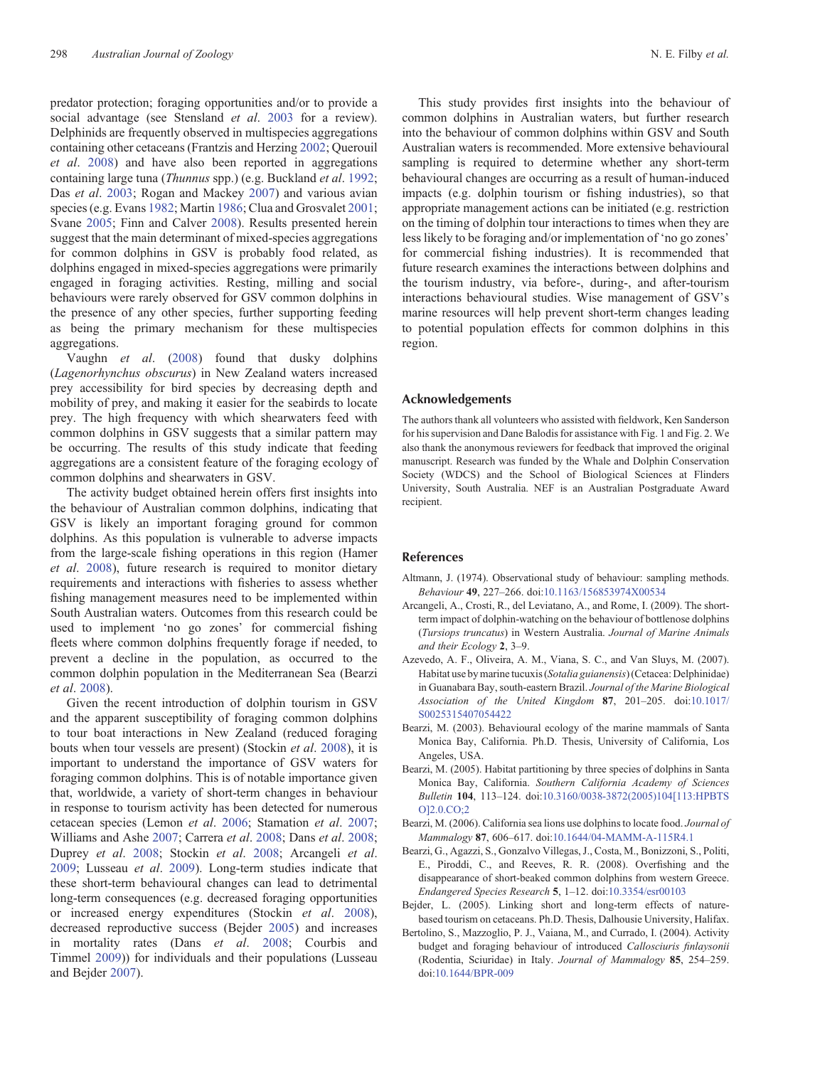<span id="page-8-0"></span>predator protection; foraging opportunities and/or to provide a social advantage (see Stensland *et al*. [2003](#page-10-0) for a review). Delphinids are frequently observed in multispecies aggregations containing other cetaceans (Frantzis and Herzing [2002](#page-9-0); Querouil *et al*. [2008](#page-10-0)) and have also been reported in aggregations containing large tuna (*Thunnus* spp.) (e.g. Buckland *et al*. [1992](#page-9-0); Das *et al*. [2003](#page-9-0); Rogan and Mackey [2007\)](#page-10-0) and various avian species (e.g. Evans [1982](#page-9-0); Martin [1986;](#page-9-0) Clua and Grosvalet [2001](#page-9-0); Svane [2005](#page-10-0); Finn and Calver [2008](#page-9-0)). Results presented herein suggest that the main determinant of mixed-species aggregations for common dolphins in GSV is probably food related, as dolphins engaged in mixed-species aggregations were primarily engaged in foraging activities. Resting, milling and social behaviours were rarely observed for GSV common dolphins in the presence of any other species, further supporting feeding as being the primary mechanism for these multispecies aggregations.

Vaughn *et al*. ([2008\)](#page-10-0) found that dusky dolphins (*Lagenorhynchus obscurus*) in New Zealand waters increased prey accessibility for bird species by decreasing depth and mobility of prey, and making it easier for the seabirds to locate prey. The high frequency with which shearwaters feed with common dolphins in GSV suggests that a similar pattern may be occurring. The results of this study indicate that feeding aggregations are a consistent feature of the foraging ecology of common dolphins and shearwaters in GSV.

The activity budget obtained herein offers first insights into the behaviour of Australian common dolphins, indicating that GSV is likely an important foraging ground for common dolphins. As this population is vulnerable to adverse impacts from the large-scale fishing operations in this region (Hamer *et al*. [2008](#page-9-0)), future research is required to monitor dietary requirements and interactions with fisheries to assess whether fishing management measures need to be implemented within South Australian waters. Outcomes from this research could be used to implement 'no go zones' for commercial fishing fleets where common dolphins frequently forage if needed, to prevent a decline in the population, as occurred to the common dolphin population in the Mediterranean Sea (Bearzi *et al*. 2008).

Given the recent introduction of dolphin tourism in GSV and the apparent susceptibility of foraging common dolphins to tour boat interactions in New Zealand (reduced foraging bouts when tour vessels are present) (Stockin *et al*. [2008](#page-10-0)), it is important to understand the importance of GSV waters for foraging common dolphins. This is of notable importance given that, worldwide, a variety of short-term changes in behaviour in response to tourism activity has been detected for numerous cetacean species (Lemon *et al*. [2006](#page-9-0); Stamation *et al*. [2007](#page-10-0); Williams and Ashe [2007](#page-10-0); Carrera *et al*. [2008](#page-9-0); Dans *et al*. [2008](#page-9-0); Duprey *et al*. [2008](#page-9-0); Stockin *et al*. [2008](#page-10-0); Arcangeli *et al*. 2009; Lusseau *et al*. [2009\)](#page-9-0). Long-term studies indicate that these short-term behavioural changes can lead to detrimental long-term consequences (e.g. decreased foraging opportunities or increased energy expenditures (Stockin *et al*. [2008](#page-10-0)), decreased reproductive success (Bejder 2005) and increases in mortality rates (Dans *et al*. [2008;](#page-9-0) Courbis and Timmel [2009\)](#page-9-0)) for individuals and their populations (Lusseau and Bejder [2007](#page-9-0)).

This study provides first insights into the behaviour of common dolphins in Australian waters, but further research into the behaviour of common dolphins within GSV and South Australian waters is recommended. More extensive behavioural sampling is required to determine whether any short-term behavioural changes are occurring as a result of human-induced impacts (e.g. dolphin tourism or fishing industries), so that appropriate management actions can be initiated (e.g. restriction on the timing of dolphin tour interactions to times when they are less likely to be foraging and/or implementation of 'no go zones' for commercial fishing industries). It is recommended that future research examines the interactions between dolphins and the tourism industry, via before-, during-, and after-tourism interactions behavioural studies. Wise management of GSV's marine resources will help prevent short-term changes leading to potential population effects for common dolphins in this region.

# **Acknowledgements**

The authors thank all volunteers who assisted with fieldwork, Ken Sanderson for his supervision and Dane Balodis for assistance with Fig. 1 and Fig. 2. We also thank the anonymous reviewers for feedback that improved the original manuscript. Research was funded by the Whale and Dolphin Conservation Society (WDCS) and the School of Biological Sciences at Flinders University, South Australia. NEF is an Australian Postgraduate Award recipient.

#### **References**

- Altmann, J. (1974). Observational study of behaviour: sampling methods. *Behaviour* **49**, 227–266. doi[:10.1163/156853974X00534](dx.doi.org/10.1163/156853974X00534)
- Arcangeli, A., Crosti, R., del Leviatano, A., and Rome, I. (2009). The shortterm impact of dolphin-watching on the behaviour of bottlenose dolphins (*Tursiops truncatus*) in Western Australia. *Journal of Marine Animals and their Ecology* **2**, 3–9.
- Azevedo, A. F., Oliveira, A. M., Viana, S. C., and Van Sluys, M. (2007). Habitat use by marine tucuxis (*Sotalia guianensis*) (Cetacea: Delphinidae) in Guanabara Bay, south-eastern Brazil. *Journal of the Marine Biological Association of the United Kingdom* **87**, 201–205. doi:[10.1017/](dx.doi.org/10.1017/S0025315407054422) [S0025315407054422](dx.doi.org/10.1017/S0025315407054422)
- Bearzi, M. (2003). Behavioural ecology of the marine mammals of Santa Monica Bay, California. Ph.D. Thesis, University of California, Los Angeles, USA.
- Bearzi, M. (2005). Habitat partitioning by three species of dolphins in Santa Monica Bay, California. *Southern California Academy of Sciences Bulletin* **104**, 113–124. doi[:10.3160/0038-3872\(2005\)104\[113:HPBTS](dx.doi.org/10.3160/0038-3872(2005)104[113:HPBTSO]2.0.CO;2) [O\]2.0.CO;2](dx.doi.org/10.3160/0038-3872(2005)104[113:HPBTSO]2.0.CO;2)
- Bearzi, M. (2006). California sea lions use dolphins to locate food. *Journal of Mammalogy* **87**, 606–617. doi:[10.1644/04-MAMM-A-115R4.1](dx.doi.org/10.1644/04-MAMM-A-115R4.1)
- Bearzi, G., Agazzi, S., Gonzalvo Villegas, J., Costa, M., Bonizzoni, S., Politi, E., Piroddi, C., and Reeves, R. R. (2008). Overfishing and the disappearance of short-beaked common dolphins from western Greece. *Endangered Species Research* **5**, 1–12. doi:[10.3354/esr00103](dx.doi.org/10.3354/esr00103)
- Bejder, L. (2005). Linking short and long-term effects of naturebased tourism on cetaceans. Ph.D. Thesis, Dalhousie University, Halifax.
- Bertolino, S., Mazzoglio, P. J., Vaiana, M., and Currado, I. (2004). Activity budget and foraging behaviour of introduced *Callosciuris finlaysonii* (Rodentia, Sciuridae) in Italy. *Journal of Mammalogy* **85**, 254–259. doi[:10.1644/BPR-009](dx.doi.org/10.1644/BPR-009)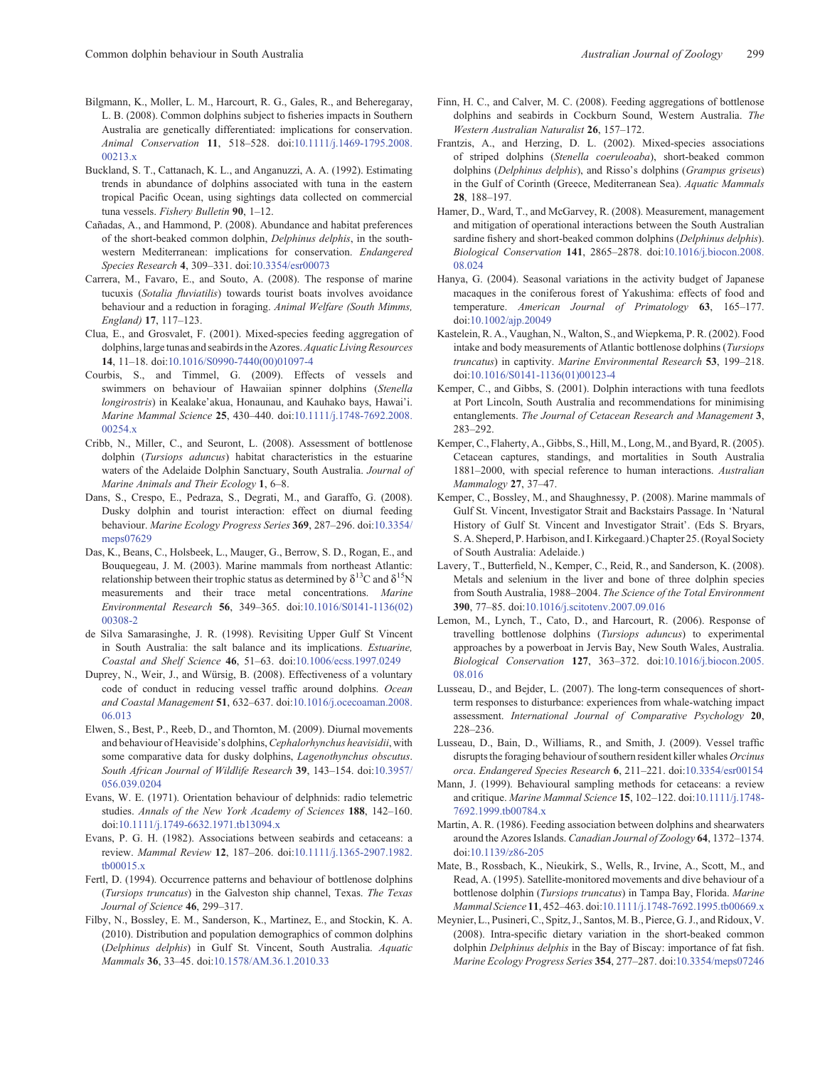- <span id="page-9-0"></span>Bilgmann, K., Moller, L. M., Harcourt, R. G., Gales, R., and Beheregaray, L. B. (2008). Common dolphins subject to fisheries impacts in Southern Australia are genetically differentiated: implications for conservation. *Animal Conservation* **11**, 518–528. doi[:10.1111/j.1469-1795.2008.](dx.doi.org/10.1111/j.1469-1795.2008.00213.x) 00213 x
- Buckland, S. T., Cattanach, K. L., and Anganuzzi, A. A. (1992). Estimating trends in abundance of dolphins associated with tuna in the eastern tropical Pacific Ocean, using sightings data collected on commercial tuna vessels. *Fishery Bulletin* **90**, 1–12.
- Cañadas, A., and Hammond, P. (2008). Abundance and habitat preferences of the short-beaked common dolphin, *Delphinus delphis*, in the southwestern Mediterranean: implications for conservation. *Endangered Species Research* **4**, 309–331. doi[:10.3354/esr00073](dx.doi.org/10.3354/esr00073)
- Carrera, M., Favaro, E., and Souto, A. (2008). The response of marine tucuxis (*Sotalia fluviatilis*) towards tourist boats involves avoidance behaviour and a reduction in foraging. *Animal Welfare (South Mimms, England)* **17**, 117–123.
- Clua, E., and Grosvalet, F. (2001). Mixed-species feeding aggregation of dolphins, large tunas and seabirds in the Azores.*Aquatic Living Resources* **14**, 11–18. doi:[10.1016/S0990-7440\(00\)01097-4](dx.doi.org/10.1016/S0990-7440(00)01097-4)
- Courbis, S., and Timmel, G. (2009). Effects of vessels and swimmers on behaviour of Hawaiian spinner dolphins (*Stenella longirostris*) in Kealake'akua, Honaunau, and Kauhako bays, Hawai'i. *Marine Mammal Science* **25**, 430–440. doi[:10.1111/j.1748-7692.2008.](dx.doi.org/10.1111/j.1748-7692.2008.00254.x) [00254.x](dx.doi.org/10.1111/j.1748-7692.2008.00254.x)
- Cribb, N., Miller, C., and Seuront, L. (2008). Assessment of bottlenose dolphin (*Tursiops aduncus*) habitat characteristics in the estuarine waters of the Adelaide Dolphin Sanctuary, South Australia. *Journal of Marine Animals and Their Ecology* **1**, 6–8.
- Dans, S., Crespo, E., Pedraza, S., Degrati, M., and Garaffo, G. (2008). Dusky dolphin and tourist interaction: effect on diurnal feeding behaviour. *Marine Ecology Progress Series* **369**, 287–296. doi[:10.3354/](dx.doi.org/10.3354/meps07629) [meps07629](dx.doi.org/10.3354/meps07629)
- Das, K., Beans, C., Holsbeek, L., Mauger, G., Berrow, S. D., Rogan, E., and Bouquegeau, J. M. (2003). Marine mammals from northeast Atlantic: relationship between their trophic status as determined by  $\delta^{13}C$  and  $\delta^{15}N$ measurements and their trace metal concentrations. *Marine Environmental Research* **56**, 349–365. doi:[10.1016/S0141-1136\(02\)](dx.doi.org/10.1016/S0141-1136(02)00308-2) [00308-2](dx.doi.org/10.1016/S0141-1136(02)00308-2)
- de Silva Samarasinghe, J. R. (1998). Revisiting Upper Gulf St Vincent in South Australia: the salt balance and its implications. *Estuarine, Coastal and Shelf Science* **46**, 51–63. doi[:10.1006/ecss.1997.0249](dx.doi.org/10.1006/ecss.1997.0249)
- Duprey, N., Weir, J., and Würsig, B. (2008). Effectiveness of a voluntary code of conduct in reducing vessel traffic around dolphins. *Ocean and Coastal Management* **51**, 632–637. doi[:10.1016/j.ocecoaman.2008.](dx.doi.org/10.1016/j.ocecoaman.2008.06.013) [06.013](dx.doi.org/10.1016/j.ocecoaman.2008.06.013)
- Elwen, S., Best, P., Reeb, D., and Thornton, M. (2009). Diurnal movements and behaviour of Heaviside's dolphins,*Cephalorhynchus heavisidii*, with some comparative data for dusky dolphins, *Lagenothynchus obscutus*. *South African Journal of Wildlife Research* **39**, 143–154. doi[:10.3957/](dx.doi.org/10.3957/056.039.0204) [056.039.0204](dx.doi.org/10.3957/056.039.0204)
- Evans, W. E. (1971). Orientation behaviour of delphnids: radio telemetric studies. *Annals of the New York Academy of Sciences* **188**, 142–160. doi:[10.1111/j.1749-6632.1971.tb13094.x](dx.doi.org/10.1111/j.1749-6632.1971.tb13094.x)
- Evans, P. G. H. (1982). Associations between seabirds and cetaceans: a review. *Mammal Review* **12**, 187–206. doi[:10.1111/j.1365-2907.1982.](dx.doi.org/10.1111/j.1365-2907.1982.tb00015.x) [tb00015.x](dx.doi.org/10.1111/j.1365-2907.1982.tb00015.x)
- Fertl, D. (1994). Occurrence patterns and behaviour of bottlenose dolphins (*Tursiops truncatus*) in the Galveston ship channel, Texas. *The Texas Journal of Science* **46**, 299–317.
- Filby, N., Bossley, E. M., Sanderson, K., Martinez, E., and Stockin, K. A. (2010). Distribution and population demographics of common dolphins (*Delphinus delphis*) in Gulf St. Vincent, South Australia. *Aquatic Mammals* **36**, 33–45. doi[:10.1578/AM.36.1.2010.33](dx.doi.org/10.1578/AM.36.1.2010.33)
- Finn, H. C., and Calver, M. C. (2008). Feeding aggregations of bottlenose dolphins and seabirds in Cockburn Sound, Western Australia. *The Western Australian Naturalist* **26**, 157–172.
- Frantzis, A., and Herzing, D. L. (2002). Mixed-species associations of striped dolphins (*Stenella coeruleoaba*), short-beaked common dolphins (*Delphinus delphis*), and Risso's dolphins (*Grampus griseus*) in the Gulf of Corinth (Greece, Mediterranean Sea). *Aquatic Mammals* **28**, 188–197.
- Hamer, D., Ward, T., and McGarvey, R. (2008). Measurement, management and mitigation of operational interactions between the South Australian sardine fishery and short-beaked common dolphins (*Delphinus delphis*). *Biological Conservation* **141**, 2865–2878. doi[:10.1016/j.biocon.2008.](dx.doi.org/10.1016/j.biocon.2008.08.024) [08.024](dx.doi.org/10.1016/j.biocon.2008.08.024)
- Hanya, G. (2004). Seasonal variations in the activity budget of Japanese macaques in the coniferous forest of Yakushima: effects of food and temperature. *American Journal of Primatology* **63**, 165–177. doi:[10.1002/ajp.20049](dx.doi.org/10.1002/ajp.20049)
- Kastelein, R. A., Vaughan, N., Walton, S., and Wiepkema, P. R. (2002). Food intake and body measurements of Atlantic bottlenose dolphins (*Tursiops truncatus*) in captivity. *Marine Environmental Research* **53**, 199–218. doi:[10.1016/S0141-1136\(01\)00123-4](dx.doi.org/10.1016/S0141-1136(01)00123-4)
- Kemper, C., and Gibbs, S. (2001). Dolphin interactions with tuna feedlots at Port Lincoln, South Australia and recommendations for minimising entanglements. *The Journal of Cetacean Research and Management* **3**, 283–292.
- Kemper, C., Flaherty, A., Gibbs, S., Hill, M., Long, M., and Byard, R. (2005). Cetacean captures, standings, and mortalities in South Australia 1881–2000, with special reference to human interactions. *Australian Mammalogy* **27**, 37–47.
- Kemper, C., Bossley, M., and Shaughnessy, P. (2008). Marine mammals of Gulf St. Vincent, Investigator Strait and Backstairs Passage. In 'Natural History of Gulf St. Vincent and Investigator Strait'. (Eds S. Bryars, S. A. Sheperd, P. Harbison, and I. Kirkegaard.) Chapter 25. (Royal Society of South Australia: Adelaide.)
- Lavery, T., Butterfield, N., Kemper, C., Reid, R., and Sanderson, K. (2008). Metals and selenium in the liver and bone of three dolphin species from South Australia, 1988–2004. *The Science of the Total Environment* **390**, 77–85. doi:[10.1016/j.scitotenv.2007.09.016](dx.doi.org/10.1016/j.scitotenv.2007.09.016)
- Lemon, M., Lynch, T., Cato, D., and Harcourt, R. (2006). Response of travelling bottlenose dolphins (*Tursiops aduncus*) to experimental approaches by a powerboat in Jervis Bay, New South Wales, Australia. *Biological Conservation* **127**, 363–372. doi[:10.1016/j.biocon.2005.](dx.doi.org/10.1016/j.biocon.2005.08.016) [08.016](dx.doi.org/10.1016/j.biocon.2005.08.016)
- Lusseau, D., and Bejder, L. (2007). The long-term consequences of shortterm responses to disturbance: experiences from whale-watching impact assessment. *International Journal of Comparative Psychology* **20**, 228–236.
- Lusseau, D., Bain, D., Williams, R., and Smith, J. (2009). Vessel traffic disrupts the foraging behaviour of southern resident killer whales *Orcinus orca*. *Endangered Species Research* **6**, 211–221. doi:[10.3354/esr00154](dx.doi.org/10.3354/esr00154)
- Mann, J. (1999). Behavioural sampling methods for cetaceans: a review and critique. *Marine Mammal Science* **15**, 102–122. doi:[10.1111/j.1748-](dx.doi.org/10.1111/j.1748-7692.1999.tb00784.x) [7692.1999.tb00784.x](dx.doi.org/10.1111/j.1748-7692.1999.tb00784.x)
- Martin, A. R. (1986). Feeding association between dolphins and shearwaters around the Azores Islands. *Canadian Journal of Zoology* **64**, 1372–1374. doi:[10.1139/z86-205](dx.doi.org/10.1139/z86-205)
- Mate, B., Rossbach, K., Nieukirk, S., Wells, R., Irvine, A., Scott, M., and Read, A. (1995). Satellite-monitored movements and dive behaviour of a bottlenose dolphin (*Tursiops truncatus*) in Tampa Bay, Florida. *Marine Mammal Science* **11**, 452–463. doi[:10.1111/j.1748-7692.1995.tb00669.x](dx.doi.org/10.1111/j.1748-7692.1995.tb00669.x)
- Meynier, L., Pusineri, C., Spitz, J., Santos, M. B., Pierce, G. J., and Ridoux, V. (2008). Intra-specific dietary variation in the short-beaked common dolphin *Delphinus delphis* in the Bay of Biscay: importance of fat fish. *Marine Ecology Progress Series* **354**, 277–287. doi[:10.3354/meps07246](dx.doi.org/10.3354/meps07246)